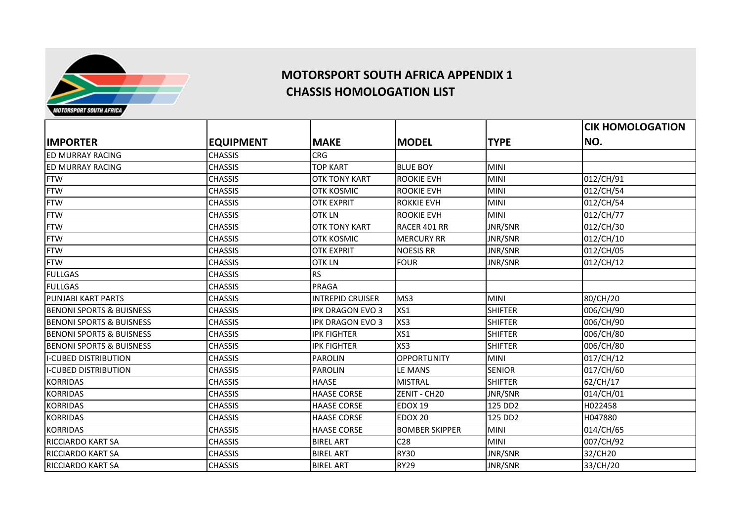

## **MOTORSPORT SOUTH AFRICA APPENDIX 1 CHASSIS HOMOLOGATION LIST**

 $\begin{bmatrix} \text{EQUIPMENT} \end{bmatrix}$   $\begin{bmatrix} \text{MAKE} \end{bmatrix}$   $\begin{bmatrix} \text{MODEL} \end{bmatrix}$   $\begin{bmatrix} \text{TYPE} \end{bmatrix}$ **CIK HOMOLOGATION NO.** ED MURRAY RACING CHASSIS CHASSIS CRG ED MURRAY RACING CHASSIS TOP KART BLUE BOY MINI FTW CHASSIS OTK TONY KART ROOKIE EVH MINI 012/CH/91 FTW CHASSIS OTK KOSMIC ROOKIE EVH MINI 012/CH/54 FTW CHASSIS OTK EXPRIT ROKKIE EVH MINI 012/CH/54 FTW CHASSIS OTK LN ROOKIE EVH MINI 012/CH/77 FTW CHASSIS OTK TONY KART RACER 401 RR JNR/SNR 012/CH/30 FTW CHASSIS OTK KOSMIC MERCURY RR JNR/SNR 012/CH/10 FTW CHASSIS OTK EXPRIT NOESIS RR JNR/SNR 012/CH/05 FTW CHASSIS OTK LN FOUR JNR/SNR 012/CH/12 FULLGAS CHASSIS RS FULLGAS PRAGA PUNJABI KART PARTS CHASSIS INTREPID CRUISER MS3 MINI 80/CH/20 BENONI SPORTS & BUISNESS CHASSIS CHASSIS THE RESOLUTION OF SHIFTER THE SENONI SPORTS & BUISNESS CHASSIS BENONI SPORTS & BUISNESS CHASSIS IPK DRAGON EVO 3 XS3 SHIFTER 006/CH/90 BENONI SPORTS & BUISNESS CHASSIS CHASSIS THE RESERVE TO A SHIFTER SENDING A SHIFTER SHIFTER SHOOG/CH/80 BENONI SPORTS & BUISNESS CHASSIS IPK FIGHTER XS3 SHIFTER 006/CH/80 I-CUBED DISTRIBUTION CHASSIS PAROLIN OPPORTUNITY MINI 017/CH/12 I-CUBED DISTRIBUTION CHASSIS PAROLIN LE MANS SENIOR 017/CH/60 KORRIDAS CHASSIS HAASE MISTRAL SHIFTER 62/CH/17 KORRIDAS CHASSIS HAASE CORSE ZENIT - CH20 JNR/SNR 014/CH/01 KORRIDAS CHASSIS HAASE CORSE EDOX 19 125 DD2 H022458 KORRIDAS CHASSIS HAASE CORSE EDOX 20 125 DD2 H047880 KORRIDAS CHASSIS HAASE CORSE BOMBER SKIPPER MINI 014/CH/65 RICCIARDO KART SA CHASSIS BIREL ART C28 MINI 007/CH/92 RICCIARDO KART SA CHASSIS BIREL ART RY30 JNR/SNR 32/CH20 RICCIARDO KART SA CHASSIS BIREL ART RY29 JNR/SNR 33/CH/20